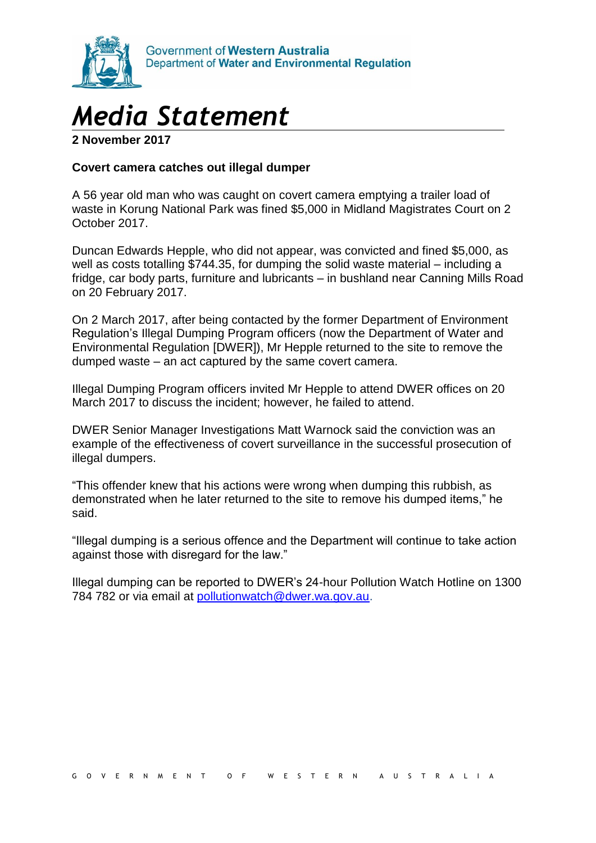

## *Media Statement*

**2 November 2017**

## **Covert camera catches out illegal dumper**

A 56 year old man who was caught on covert camera emptying a trailer load of waste in Korung National Park was fined \$5,000 in Midland Magistrates Court on 2 October 2017.

Duncan Edwards Hepple, who did not appear, was convicted and fined \$5,000, as well as costs totalling \$744.35, for dumping the solid waste material – including a fridge, car body parts, furniture and lubricants – in bushland near Canning Mills Road on 20 February 2017.

On 2 March 2017, after being contacted by the former Department of Environment Regulation's Illegal Dumping Program officers (now the Department of Water and Environmental Regulation [DWER]), Mr Hepple returned to the site to remove the dumped waste – an act captured by the same covert camera.

Illegal Dumping Program officers invited Mr Hepple to attend DWER offices on 20 March 2017 to discuss the incident; however, he failed to attend.

DWER Senior Manager Investigations Matt Warnock said the conviction was an example of the effectiveness of covert surveillance in the successful prosecution of illegal dumpers.

"This offender knew that his actions were wrong when dumping this rubbish, as demonstrated when he later returned to the site to remove his dumped items," he said.

"Illegal dumping is a serious offence and the Department will continue to take action against those with disregard for the law."

Illegal dumping can be reported to DWER's 24-hour Pollution Watch Hotline on 1300 784 782 or via email at [pollutionwatch@dwer.wa.gov.au.](mailto:pollutionwatch@dwer.wa.gov.au)